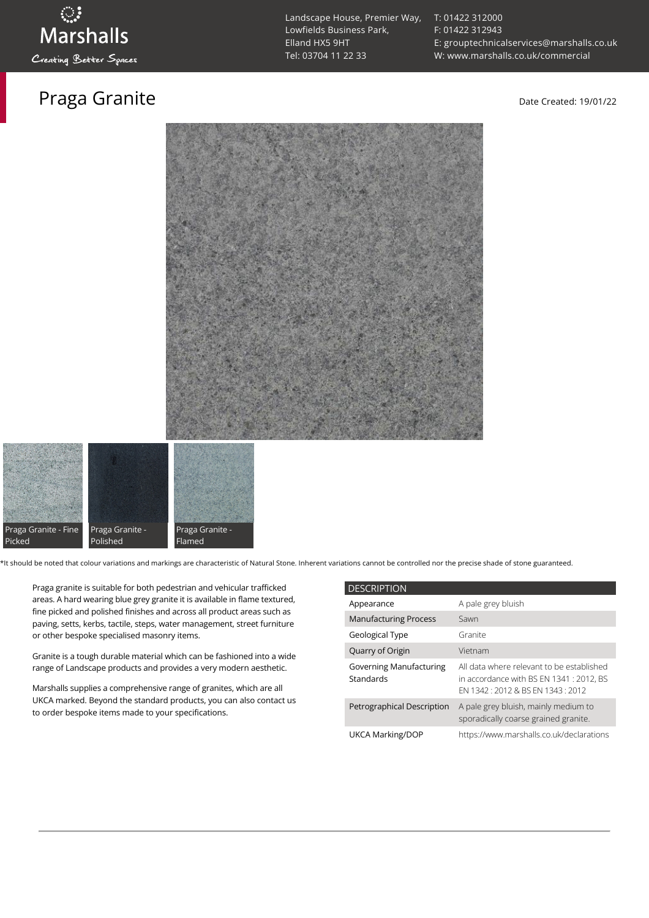### Praga Granite **Date Created: 19/01/22**

[T: 01422 312000](tel:01422%20312000) [F: 01422 312943](tel:01422%20312943) [E: grouptechnicalservices@marshalls.co.uk](mailto:grouptechnicalservices@marshalls.co.uk) [W: www.marshalls.co.uk/commercial](https://www.marshalls.co.uk/commercial)





\*It should be noted that colour variations and markings are characteristic of Natural Stone. Inherent variations cannot be controlled nor the precise shade of stone guaranteed.

Praga granite is suitable for both pedestrian and vehicular trafficked areas. A hard wearing blue grey granite it is available in flame textured, fine picked and polished finishes and across all product areas such as paving, setts, kerbs, tactile, steps, water management, street furniture or other bespoke specialised masonry items.

Granite is a tough durable material which can be fashioned into a wide range of Landscape products and provides a very modern aesthetic.

Marshalls supplies a comprehensive range of granites, which are all UKCA marked. Beyond the standard products, you can also contact us to order bespoke items made to your specifications.

| <b>DESCRIPTION</b>                          |                                                                                                                           |  |
|---------------------------------------------|---------------------------------------------------------------------------------------------------------------------------|--|
| Appearance                                  | A pale grey bluish                                                                                                        |  |
| <b>Manufacturing Process</b>                | Sawn                                                                                                                      |  |
| Geological Type                             | Granite                                                                                                                   |  |
| Quarry of Origin                            | Vietnam                                                                                                                   |  |
| <b>Governing Manufacturing</b><br>Standards | All data where relevant to be established<br>in accordance with BS EN 1341 : 2012, BS<br>FN 1342 12012 & BS FN 1343 12012 |  |
| Petrographical Description                  | A pale grey bluish, mainly medium to<br>sporadically coarse grained granite.                                              |  |
| UKCA Marking/DOP                            | https://www.marshalls.co.uk/declarations                                                                                  |  |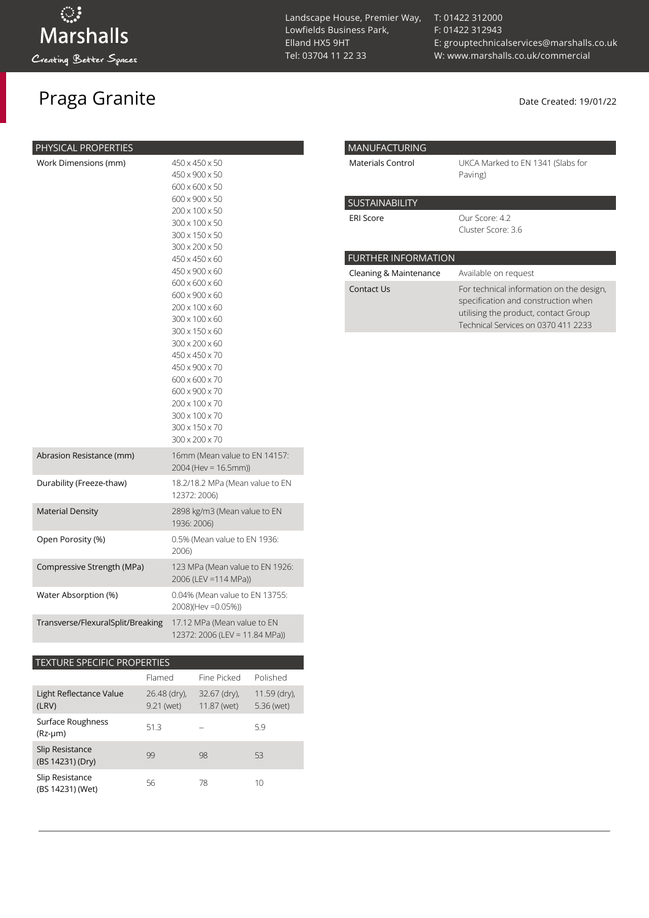# Praga Granite Date Created: 19/01/22

| Work Dimensions (mm)<br>450 x 450 x 50                           |  |
|------------------------------------------------------------------|--|
| 450 x 900 x 50                                                   |  |
| 600 x 600 x 50                                                   |  |
| 600 x 900 x 50                                                   |  |
| 200 x 100 x 50                                                   |  |
| 300 x 100 x 50                                                   |  |
| 300 x 150 x 50                                                   |  |
| 300 x 200 x 50                                                   |  |
| 450 x 450 x 60                                                   |  |
| 450 x 900 x 60                                                   |  |
| 600 x 600 x 60                                                   |  |
| 600 x 900 x 60                                                   |  |
| 200 x 100 x 60                                                   |  |
| 300 x 100 x 60                                                   |  |
| 300 x 150 x 60                                                   |  |
| 300 x 200 x 60                                                   |  |
| 450 x 450 x 70                                                   |  |
| 450 x 900 x 70                                                   |  |
| 600 x 600 x 70<br>600 x 900 x 70                                 |  |
| 200 x 100 x 70                                                   |  |
| 300 x 100 x 70                                                   |  |
| 300 x 150 x 70                                                   |  |
| $300 \times 200 \times 70$                                       |  |
| Abrasion Resistance (mm)<br>16mm (Mean value to EN 14157:        |  |
| 2004 (Hev = 16.5mm))                                             |  |
|                                                                  |  |
| Durability (Freeze-thaw)<br>18.2/18.2 MPa (Mean value to EN      |  |
| 12372: 2006)                                                     |  |
| <b>Material Density</b><br>2898 kg/m3 (Mean value to EN          |  |
| 1936: 2006)                                                      |  |
| Open Porosity (%)<br>0.5% (Mean value to EN 1936:                |  |
| 2006)                                                            |  |
| Compressive Strength (MPa)<br>123 MPa (Mean value to EN 1926:    |  |
| 2006 (LEV =114 MPa))                                             |  |
| 0.04% (Mean value to EN 13755:<br>Water Absorption (%)           |  |
| 2008)(Hev = 0.05%))                                              |  |
| Transverse/FlexuralSplit/Breaking<br>17.12 MPa (Mean value to EN |  |
| 12372: 2006 (LEV = 11.84 MPa))                                   |  |

### TEXTURE SPECIFIC PROPERTIES

|                                     | Flamed                     | Fine Picked                 | Polished                     |
|-------------------------------------|----------------------------|-----------------------------|------------------------------|
| Light Reflectance Value<br>(LRV)    | 26.48 (dry),<br>9.21 (wet) | 32.67 (dry),<br>11.87 (wet) | $11.59$ (dry),<br>5.36 (wet) |
| Surface Roughness<br>$(Rz-µm)$      | 51.3                       |                             | 5.9                          |
| Slip Resistance<br>(BS 14231) (Dry) | 99                         | 98                          | 53                           |
| Slip Resistance<br>(BS 14231) (Wet) | 56                         | 78                          | 10                           |

Landscape House, Premier Way, Lowfields Business Park, Elland HX5 9HT [Tel: 03704 11 22 33](tel:03704112233)

[T: 01422 312000](tel:01422%20312000) [F: 01422 312943](tel:01422%20312943) [E: grouptechnicalservices@marshalls.co.uk](mailto:grouptechnicalservices@marshalls.co.uk) [W: www.marshalls.co.uk/commercial](https://www.marshalls.co.uk/commercial)

| <b>MANUFACTURING</b>       |                                                                                                                                                                |
|----------------------------|----------------------------------------------------------------------------------------------------------------------------------------------------------------|
| <b>Materials Control</b>   | UKCA Marked to EN 1341 (Slabs for<br>Paving)                                                                                                                   |
| <b>SUSTAINABILITY</b>      |                                                                                                                                                                |
| <b>ERI Score</b>           | Our Score: 4.2<br>Cluster Score: 3.6                                                                                                                           |
| <b>FURTHER INFORMATION</b> |                                                                                                                                                                |
| Cleaning & Maintenance     | Available on request                                                                                                                                           |
| Contact Us                 | For technical information on the design,<br>specification and construction when<br>utilising the product, contact Group<br>Technical Services on 0370 411 2233 |